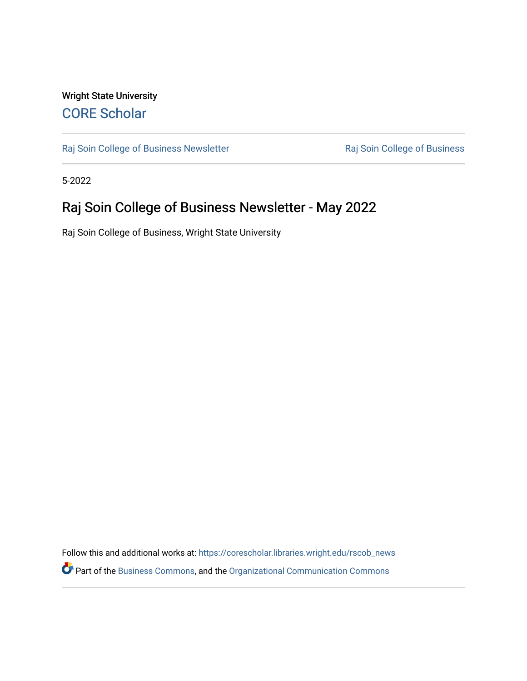### Wright State University [CORE Scholar](https://corescholar.libraries.wright.edu/)

[Raj Soin College of Business Newsletter](https://corescholar.libraries.wright.edu/rscob_news) **Raj Soin College of Business** 

5-2022

## Raj Soin College of Business Newsletter - May 2022

Raj Soin College of Business, Wright State University

Follow this and additional works at: [https://corescholar.libraries.wright.edu/rscob\\_news](https://corescholar.libraries.wright.edu/rscob_news?utm_source=corescholar.libraries.wright.edu%2Frscob_news%2F39&utm_medium=PDF&utm_campaign=PDFCoverPages)  Part of the [Business Commons](https://network.bepress.com/hgg/discipline/622?utm_source=corescholar.libraries.wright.edu%2Frscob_news%2F39&utm_medium=PDF&utm_campaign=PDFCoverPages), and the [Organizational Communication Commons](https://network.bepress.com/hgg/discipline/335?utm_source=corescholar.libraries.wright.edu%2Frscob_news%2F39&utm_medium=PDF&utm_campaign=PDFCoverPages)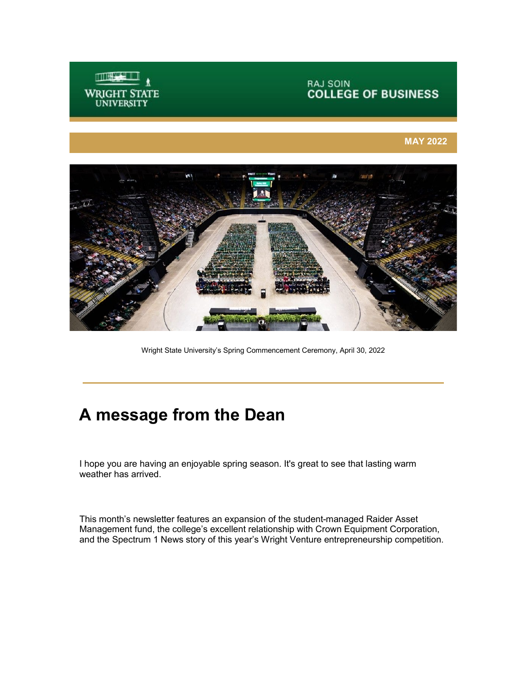

# **RAJ SOIN<br>COLLEGE OF BUSINESS**

#### **MAY 2022**



Wright State University's Spring Commencement Ceremony, April 30, 2022

## **A message from the Dean**

I hope you are having an enjoyable spring season. It's great to see that lasting warm weather has arrived.

This month's newsletter features an expansion of the student-managed Raider Asset Management fund, the college's excellent relationship with Crown Equipment Corporation, and the Spectrum 1 News story of this year's Wright Venture entrepreneurship competition.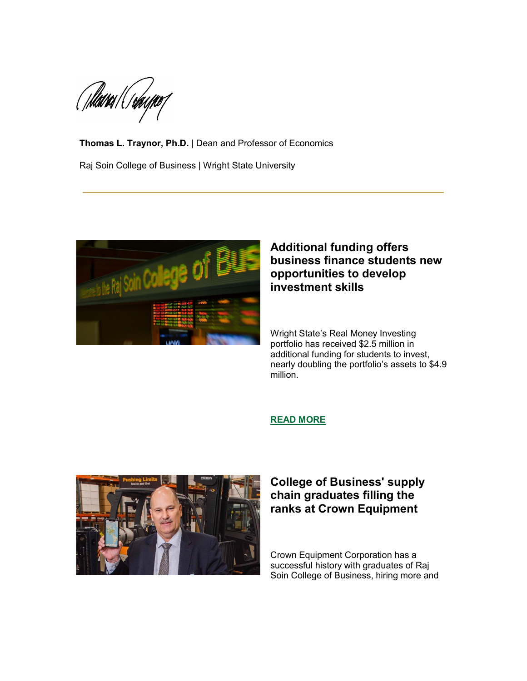(Thàin / Cr*h*ogne f

**Thomas L. Traynor, Ph.D.** | Dean and Professor of Economics Raj Soin College of Business | Wright State University



### **Additional funding offers business finance students new opportunities to develop investment skills**

 Wright State's Real Money Investing portfolio has received \$2.5 million in additional funding for students to invest, nearly doubling the portfolio's assets to \$4.9 million.

#### **[READ MORE](https://perma.cc/BR8C-RKRD)**



### **chain graduates filling the ranks at Crown Equipment College of Business' supply**

Crown Equipment Corporation has a successful history with graduates of Raj Soin College of Business, hiring more and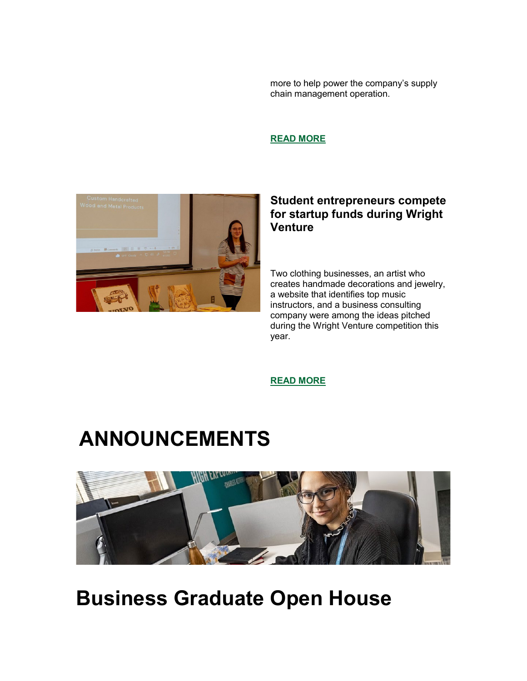more to help power the company's supply chain management operation.

**READ MORE** 



#### **Student entrepreneurs compete for startup funds during Wright Venture**

Two clothing businesses, an artist who creates handmade decorations and jewelry, a website that identifies top music instructors, and a business consulting company were among the ideas pitched during the Wright Venture competition this year.

**[READ MORE](https://youtu.be/geGAOYjGyOo)** 

# **ANNOUNCEMENTS**



**Business Graduate Open House**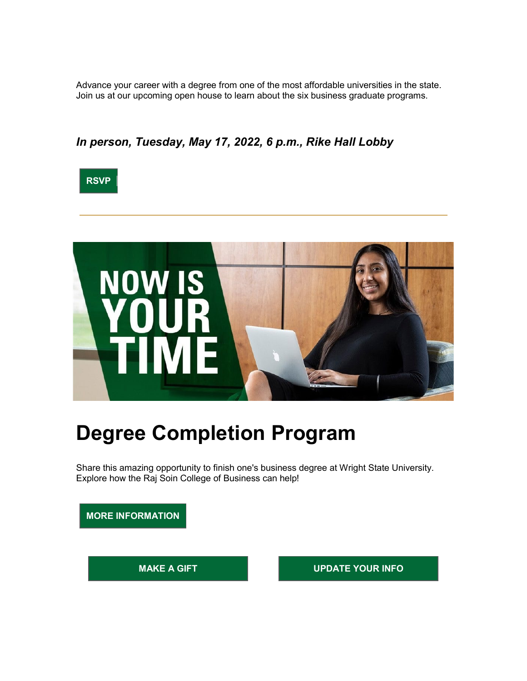Advance your career with a degree from one of the most affordable universities in the state. Join us at our upcoming open house to learn about the six business graduate programs.

### *In person, Tuesday, May 17, 2022, 6 p.m., Rike Hall Lobby*





## **Degree Completion Program**

Share this amazing opportunity to finish one's business degree at Wright State University. Explore how the Raj Soin College of Business can help!

**MORE INFORMATION** 

**MAKE A GIFT WE CONSUMER THE UPDATE YOUR INFORM**